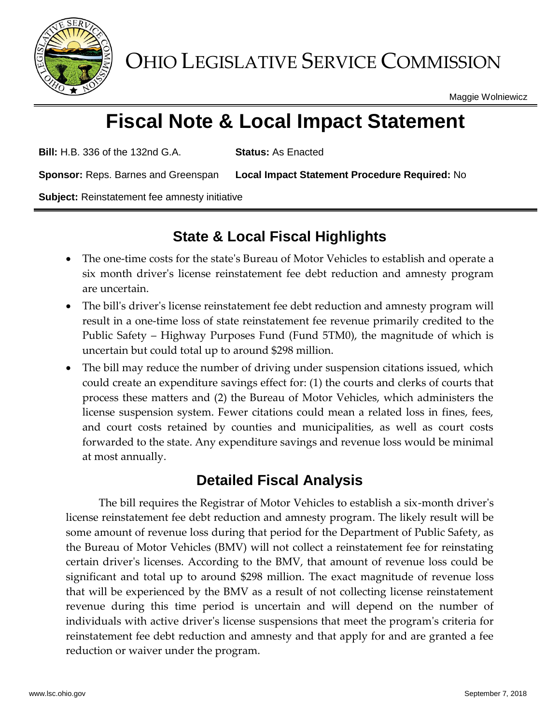

OHIO LEGISLATIVE SERVICE COMMISSION

Maggie Wolniewicz

# **Fiscal Note & Local Impact Statement**

**Bill:** H.B. 336 of the 132nd G.A. **Status:** As Enacted

**Sponsor:** Reps. Barnes and Greenspan **Local Impact Statement Procedure Required:** No

**Subject:** Reinstatement fee amnesty initiative

## **State & Local Fiscal Highlights**

- The one-time costs for the state's Bureau of Motor Vehicles to establish and operate a six month driver's license reinstatement fee debt reduction and amnesty program are uncertain.
- The bill's driver's license reinstatement fee debt reduction and amnesty program will result in a one-time loss of state reinstatement fee revenue primarily credited to the Public Safety – Highway Purposes Fund (Fund 5TM0), the magnitude of which is uncertain but could total up to around \$298 million.
- The bill may reduce the number of driving under suspension citations issued, which could create an expenditure savings effect for: (1) the courts and clerks of courts that process these matters and (2) the Bureau of Motor Vehicles, which administers the license suspension system. Fewer citations could mean a related loss in fines, fees, and court costs retained by counties and municipalities, as well as court costs forwarded to the state. Any expenditure savings and revenue loss would be minimal at most annually.

### **Detailed Fiscal Analysis**

The bill requires the Registrar of Motor Vehicles to establish a six-month driver's license reinstatement fee debt reduction and amnesty program. The likely result will be some amount of revenue loss during that period for the Department of Public Safety, as the Bureau of Motor Vehicles (BMV) will not collect a reinstatement fee for reinstating certain driver's licenses. According to the BMV, that amount of revenue loss could be significant and total up to around \$298 million. The exact magnitude of revenue loss that will be experienced by the BMV as a result of not collecting license reinstatement revenue during this time period is uncertain and will depend on the number of individuals with active driver's license suspensions that meet the program's criteria for reinstatement fee debt reduction and amnesty and that apply for and are granted a fee reduction or waiver under the program.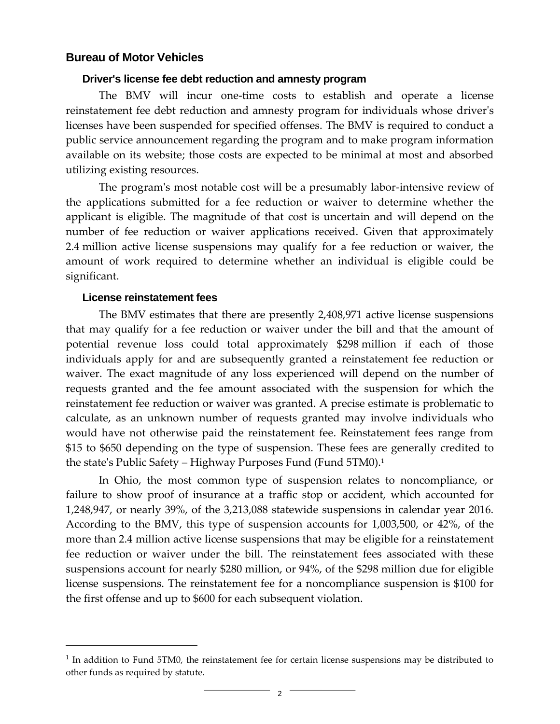#### **Bureau of Motor Vehicles**

#### **Driver's license fee debt reduction and amnesty program**

The BMV will incur one-time costs to establish and operate a license reinstatement fee debt reduction and amnesty program for individuals whose driver's licenses have been suspended for specified offenses. The BMV is required to conduct a public service announcement regarding the program and to make program information available on its website; those costs are expected to be minimal at most and absorbed utilizing existing resources.

The program's most notable cost will be a presumably labor-intensive review of the applications submitted for a fee reduction or waiver to determine whether the applicant is eligible. The magnitude of that cost is uncertain and will depend on the number of fee reduction or waiver applications received. Given that approximately 2.4 million active license suspensions may qualify for a fee reduction or waiver, the amount of work required to determine whether an individual is eligible could be significant.

#### **License reinstatement fees**

 $\overline{a}$ 

The BMV estimates that there are presently 2,408,971 active license suspensions that may qualify for a fee reduction or waiver under the bill and that the amount of potential revenue loss could total approximately \$298 million if each of those individuals apply for and are subsequently granted a reinstatement fee reduction or waiver. The exact magnitude of any loss experienced will depend on the number of requests granted and the fee amount associated with the suspension for which the reinstatement fee reduction or waiver was granted. A precise estimate is problematic to calculate, as an unknown number of requests granted may involve individuals who would have not otherwise paid the reinstatement fee. Reinstatement fees range from \$15 to \$650 depending on the type of suspension. These fees are generally credited to the state's Public Safety – Highway Purposes Fund (Fund 5TM0).<sup>1</sup>

In Ohio, the most common type of suspension relates to noncompliance, or failure to show proof of insurance at a traffic stop or accident, which accounted for 1,248,947, or nearly 39%, of the 3,213,088 statewide suspensions in calendar year 2016. According to the BMV, this type of suspension accounts for 1,003,500, or 42%, of the more than 2.4 million active license suspensions that may be eligible for a reinstatement fee reduction or waiver under the bill. The reinstatement fees associated with these suspensions account for nearly \$280 million, or 94%, of the \$298 million due for eligible license suspensions. The reinstatement fee for a noncompliance suspension is \$100 for the first offense and up to \$600 for each subsequent violation.

<sup>&</sup>lt;sup>1</sup> In addition to Fund 5TM0, the reinstatement fee for certain license suspensions may be distributed to other funds as required by statute.